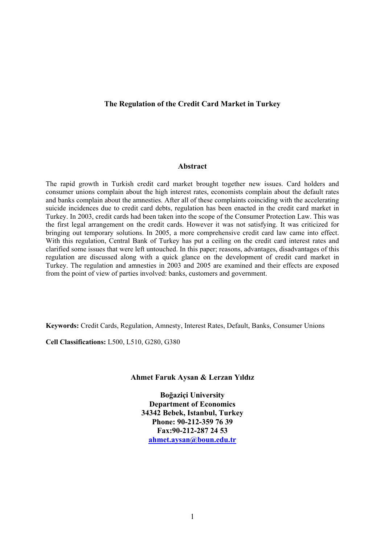## **The Regulation of the Credit Card Market in Turkey**

## **Abstract**

The rapid growth in Turkish credit card market brought together new issues. Card holders and consumer unions complain about the high interest rates, economists complain about the default rates and banks complain about the amnesties. After all of these complaints coinciding with the accelerating suicide incidences due to credit card debts, regulation has been enacted in the credit card market in Turkey. In 2003, credit cards had been taken into the scope of the Consumer Protection Law. This was the first legal arrangement on the credit cards. However it was not satisfying. It was criticized for bringing out temporary solutions. In 2005, a more comprehensive credit card law came into effect. With this regulation, Central Bank of Turkey has put a ceiling on the credit card interest rates and clarified some issues that were left untouched. In this paper; reasons, advantages, disadvantages of this regulation are discussed along with a quick glance on the development of credit card market in Turkey. The regulation and amnesties in 2003 and 2005 are examined and their effects are exposed from the point of view of parties involved: banks, customers and government.

**Keywords:** Credit Cards, Regulation, Amnesty, Interest Rates, Default, Banks, Consumer Unions

**Cell Classifications:** L500, L510, G280, G380

### **Ahmet Faruk Aysan & Lerzan Yıldız**

**Boğaziçi University Department of Economics 34342 Bebek, Istanbul, Turkey Phone: 90-212-359 76 39 Fax:90-212-287 24 53 ahmet.aysan@boun.edu.tr**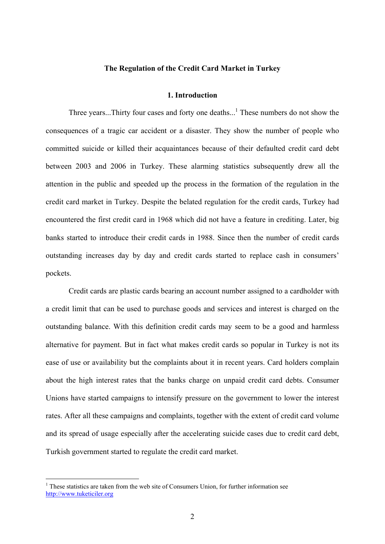# **The Regulation of the Credit Card Market in Turkey**

#### **1. Introduction**

Three years...Thirty four cases and forty one deaths...<sup>1</sup> These numbers do not show the consequences of a tragic car accident or a disaster. They show the number of people who committed suicide or killed their acquaintances because of their defaulted credit card debt between 2003 and 2006 in Turkey. These alarming statistics subsequently drew all the attention in the public and speeded up the process in the formation of the regulation in the credit card market in Turkey. Despite the belated regulation for the credit cards, Turkey had encountered the first credit card in 1968 which did not have a feature in crediting. Later, big banks started to introduce their credit cards in 1988. Since then the number of credit cards outstanding increases day by day and credit cards started to replace cash in consumers' pockets.

Credit cards are plastic cards bearing an account number assigned to a cardholder with a credit limit that can be used to purchase goods and services and interest is charged on the outstanding balance. With this definition credit cards may seem to be a good and harmless alternative for payment. But in fact what makes credit cards so popular in Turkey is not its ease of use or availability but the complaints about it in recent years. Card holders complain about the high interest rates that the banks charge on unpaid credit card debts. Consumer Unions have started campaigns to intensify pressure on the government to lower the interest rates. After all these campaigns and complaints, together with the extent of credit card volume and its spread of usage especially after the accelerating suicide cases due to credit card debt, Turkish government started to regulate the credit card market.

1

<sup>&</sup>lt;sup>1</sup> These statistics are taken from the web site of Consumers Union, for further information see http://www.tuketiciler.org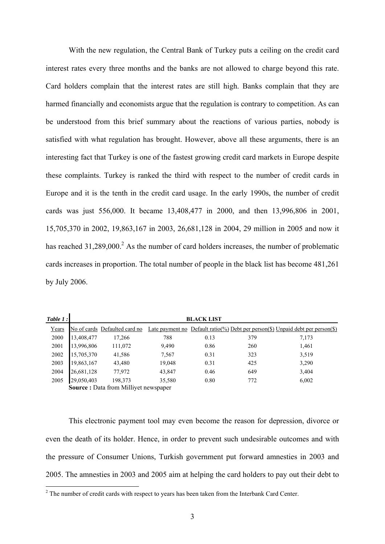With the new regulation, the Central Bank of Turkey puts a ceiling on the credit card interest rates every three months and the banks are not allowed to charge beyond this rate. Card holders complain that the interest rates are still high. Banks complain that they are harmed financially and economists argue that the regulation is contrary to competition. As can be understood from this brief summary about the reactions of various parties, nobody is satisfied with what regulation has brought. However, above all these arguments, there is an interesting fact that Turkey is one of the fastest growing credit card markets in Europe despite these complaints. Turkey is ranked the third with respect to the number of credit cards in Europe and it is the tenth in the credit card usage. In the early 1990s, the number of credit cards was just 556,000. It became 13,408,477 in 2000, and then 13,996,806 in 2001, 15,705,370 in 2002, 19,863,167 in 2003, 26,681,128 in 2004, 29 million in 2005 and now it has reached  $31,289,000$ <sup>2</sup> As the number of card holders increases, the number of problematic cards increases in proportion. The total number of people in the black list has become 481,261 by July 2006.

| Table 1: | <b>BLACK LIST</b> |                                             |        |      |     |                                                                                 |
|----------|-------------------|---------------------------------------------|--------|------|-----|---------------------------------------------------------------------------------|
| Years    |                   | No of cards Defaulted card no               |        |      |     | Late payment no Default ratio(%) Debt per person(\$) Unpaid debt per person(\$) |
| 2000     | 13,408,477        | 17,266                                      | 788    | 0.13 | 379 | 7,173                                                                           |
| 2001     | 13,996,806        | 111,072                                     | 9,490  | 0.86 | 260 | 1,461                                                                           |
| 2002     | 15,705,370        | 41,586                                      | 7,567  | 0.31 | 323 | 3,519                                                                           |
| 2003     | 19,863,167        | 43,480                                      | 19,048 | 0.31 | 425 | 3,290                                                                           |
| 2004     | 26,681,128        | 77,972                                      | 43,847 | 0.46 | 649 | 3,404                                                                           |
| 2005     | 29,050,403        | 198,373                                     | 35,580 | 0.80 | 772 | 6,002                                                                           |
|          |                   | <b>Source:</b> Data from Milliyet newspaper |        |      |     |                                                                                 |

This electronic payment tool may even become the reason for depression, divorce or even the death of its holder. Hence, in order to prevent such undesirable outcomes and with the pressure of Consumer Unions, Turkish government put forward amnesties in 2003 and 2005. The amnesties in 2003 and 2005 aim at helping the card holders to pay out their debt to

<sup>&</sup>lt;sup>2</sup> The number of credit cards with respect to years has been taken from the Interbank Card Center.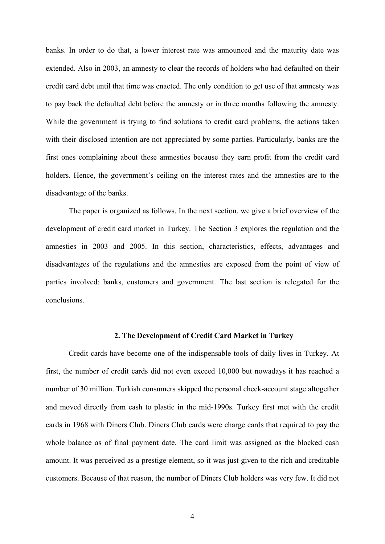banks. In order to do that, a lower interest rate was announced and the maturity date was extended. Also in 2003, an amnesty to clear the records of holders who had defaulted on their credit card debt until that time was enacted. The only condition to get use of that amnesty was to pay back the defaulted debt before the amnesty or in three months following the amnesty. While the government is trying to find solutions to credit card problems, the actions taken with their disclosed intention are not appreciated by some parties. Particularly, banks are the first ones complaining about these amnesties because they earn profit from the credit card holders. Hence, the government's ceiling on the interest rates and the amnesties are to the disadvantage of the banks.

The paper is organized as follows. In the next section, we give a brief overview of the development of credit card market in Turkey. The Section 3 explores the regulation and the amnesties in 2003 and 2005. In this section, characteristics, effects, advantages and disadvantages of the regulations and the amnesties are exposed from the point of view of parties involved: banks, customers and government. The last section is relegated for the conclusions.

#### **2. The Development of Credit Card Market in Turkey**

Credit cards have become one of the indispensable tools of daily lives in Turkey. At first, the number of credit cards did not even exceed 10,000 but nowadays it has reached a number of 30 million. Turkish consumers skipped the personal check-account stage altogether and moved directly from cash to plastic in the mid-1990s. Turkey first met with the credit cards in 1968 with Diners Club. Diners Club cards were charge cards that required to pay the whole balance as of final payment date. The card limit was assigned as the blocked cash amount. It was perceived as a prestige element, so it was just given to the rich and creditable customers. Because of that reason, the number of Diners Club holders was very few. It did not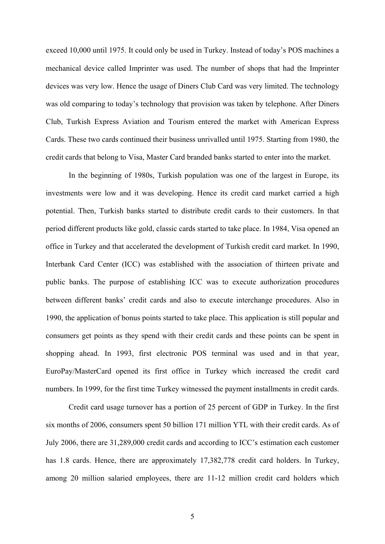exceed 10,000 until 1975. It could only be used in Turkey. Instead of today's POS machines a mechanical device called Imprinter was used. The number of shops that had the Imprinter devices was very low. Hence the usage of Diners Club Card was very limited. The technology was old comparing to today's technology that provision was taken by telephone. After Diners Club, Turkish Express Aviation and Tourism entered the market with American Express Cards. These two cards continued their business unrivalled until 1975. Starting from 1980, the credit cards that belong to Visa, Master Card branded banks started to enter into the market.

In the beginning of 1980s, Turkish population was one of the largest in Europe, its investments were low and it was developing. Hence its credit card market carried a high potential. Then, Turkish banks started to distribute credit cards to their customers. In that period different products like gold, classic cards started to take place. In 1984, Visa opened an office in Turkey and that accelerated the development of Turkish credit card market. In 1990, Interbank Card Center (ICC) was established with the association of thirteen private and public banks. The purpose of establishing ICC was to execute authorization procedures between different banks' credit cards and also to execute interchange procedures. Also in 1990, the application of bonus points started to take place. This application is still popular and consumers get points as they spend with their credit cards and these points can be spent in shopping ahead. In 1993, first electronic POS terminal was used and in that year, EuroPay/MasterCard opened its first office in Turkey which increased the credit card numbers. In 1999, for the first time Turkey witnessed the payment installments in credit cards.

Credit card usage turnover has a portion of 25 percent of GDP in Turkey. In the first six months of 2006, consumers spent 50 billion 171 million YTL with their credit cards. As of July 2006, there are 31,289,000 credit cards and according to ICC's estimation each customer has 1.8 cards. Hence, there are approximately 17,382,778 credit card holders. In Turkey, among 20 million salaried employees, there are 11-12 million credit card holders which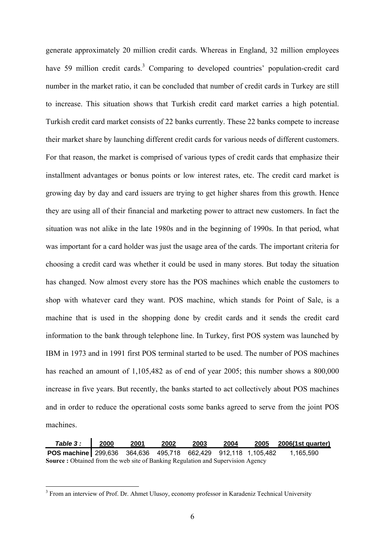generate approximately 20 million credit cards. Whereas in England, 32 million employees have 59 million credit cards.<sup>3</sup> Comparing to developed countries' population-credit card number in the market ratio, it can be concluded that number of credit cards in Turkey are still to increase. This situation shows that Turkish credit card market carries a high potential. Turkish credit card market consists of 22 banks currently. These 22 banks compete to increase their market share by launching different credit cards for various needs of different customers. For that reason, the market is comprised of various types of credit cards that emphasize their installment advantages or bonus points or low interest rates, etc. The credit card market is growing day by day and card issuers are trying to get higher shares from this growth. Hence they are using all of their financial and marketing power to attract new customers. In fact the situation was not alike in the late 1980s and in the beginning of 1990s. In that period, what was important for a card holder was just the usage area of the cards. The important criteria for choosing a credit card was whether it could be used in many stores. But today the situation has changed. Now almost every store has the POS machines which enable the customers to shop with whatever card they want. POS machine, which stands for Point of Sale, is a machine that is used in the shopping done by credit cards and it sends the credit card information to the bank through telephone line. In Turkey, first POS system was launched by IBM in 1973 and in 1991 first POS terminal started to be used. The number of POS machines has reached an amount of 1,105,482 as of end of year 2005; this number shows a 800,000 increase in five years. But recently, the banks started to act collectively about POS machines and in order to reduce the operational costs some banks agreed to serve from the joint POS machines.

*Table 3 :* **2000 2001 2002 2003 2004 2005 2006(1st quarter) POS machine | 299,636 364,636 495,718 662,429 912,118 1,105,482 1,165,590 Source :** Obtained from the web site of Banking Regulation and Supervision Agency

<sup>&</sup>lt;sup>3</sup> From an interview of Prof. Dr. Ahmet Ulusoy, economy professor in Karadeniz Technical University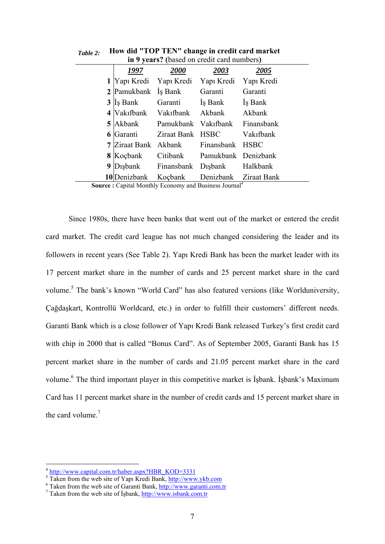| III 2 years: (based on credit card numbers) |         |                                       |                              |            |  |
|---------------------------------------------|---------|---------------------------------------|------------------------------|------------|--|
|                                             | 1997    | <b>2000</b>                           | 2003                         | 2005       |  |
| 1                                           |         | Yapı Kredi Yapı Kredi Yapı Kredi      |                              | Yapı Kredi |  |
|                                             |         | 2 Pamukbank Is Bank                   | Garanti                      | Garanti    |  |
| 3                                           | Is Bank |                                       | Garanti Is Bank              | Is Bank    |  |
| 4                                           |         | Vakıfbank Vakıfbank Akbank            |                              | Akbank     |  |
| 5                                           |         | Akbank Pamukbank Vakifbank Finansbank |                              |            |  |
| 6                                           | Garanti | Ziraat Bank HSBC                      |                              | Vakıfbank  |  |
|                                             |         | 7 Ziraat Bank Akbank Finansbank HSBC  |                              |            |  |
| 8                                           | Koçbank |                                       | Citibank Pamukbank Denizbank |            |  |
| 9                                           |         | Dışbank Finansbank Dışbank            |                              | Halkbank   |  |
|                                             |         | 10 Denizbank Koçbank                  | Denizbank Ziraat Bank        |            |  |

*Table 2:* **How did "TOP TEN" change in credit card market in 9 years? (**based on credit card numbers**)** 

**Source : Capital Monthly Economy and Business Journal<sup>4</sup>** 

Since 1980s, there have been banks that went out of the market or entered the credit card market. The credit card league has not much changed considering the leader and its followers in recent years (See Table 2). Yapı Kredi Bank has been the market leader with its 17 percent market share in the number of cards and 25 percent market share in the card volume.<sup>5</sup> The bank's known "World Card" has also featured versions (like Worlduniversity, Çağdaşkart, Kontrollü Worldcard, etc.) in order to fulfill their customers' different needs. Garanti Bank which is a close follower of Yapı Kredi Bank released Turkey's first credit card with chip in 2000 that is called "Bonus Card". As of September 2005, Garanti Bank has 15 percent market share in the number of cards and 21.05 percent market share in the card volume.<sup>6</sup> The third important player in this competitive market is İşbank. İşbank's Maximum Card has 11 percent market share in the number of credit cards and 15 percent market share in the card volume.7

http://www.capital.com.tr/haber.aspx?HBR\_KOD=3331

<sup>&</sup>lt;sup>5</sup> Taken from the web site of Yapı Kredi Bank, http://www.ykb.com

 $6$  Taken from the web site of Garanti Bank, http://www.garanti.com.tr

 $\frac{7}{7}$  Taken from the web site of Isbank, http://www.isbank.com.tr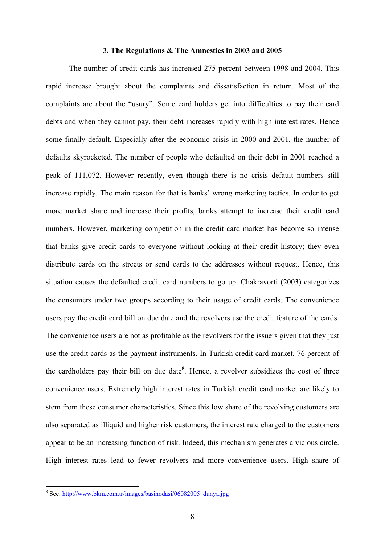#### **3. The Regulations & The Amnesties in 2003 and 2005**

The number of credit cards has increased 275 percent between 1998 and 2004. This rapid increase brought about the complaints and dissatisfaction in return. Most of the complaints are about the "usury". Some card holders get into difficulties to pay their card debts and when they cannot pay, their debt increases rapidly with high interest rates. Hence some finally default. Especially after the economic crisis in 2000 and 2001, the number of defaults skyrocketed. The number of people who defaulted on their debt in 2001 reached a peak of 111,072. However recently, even though there is no crisis default numbers still increase rapidly. The main reason for that is banks' wrong marketing tactics. In order to get more market share and increase their profits, banks attempt to increase their credit card numbers. However, marketing competition in the credit card market has become so intense that banks give credit cards to everyone without looking at their credit history; they even distribute cards on the streets or send cards to the addresses without request. Hence, this situation causes the defaulted credit card numbers to go up. Chakravorti (2003) categorizes the consumers under two groups according to their usage of credit cards. The convenience users pay the credit card bill on due date and the revolvers use the credit feature of the cards. The convenience users are not as profitable as the revolvers for the issuers given that they just use the credit cards as the payment instruments. In Turkish credit card market, 76 percent of the cardholders pay their bill on due date $8$ . Hence, a revolver subsidizes the cost of three convenience users. Extremely high interest rates in Turkish credit card market are likely to stem from these consumer characteristics. Since this low share of the revolving customers are also separated as illiquid and higher risk customers, the interest rate charged to the customers appear to be an increasing function of risk. Indeed, this mechanism generates a vicious circle. High interest rates lead to fewer revolvers and more convenience users. High share of

<sup>&</sup>lt;u>s</u><br><sup>8</sup> See: http://www.bkm.com.tr/images/basinodasi/06082005\_dunya.jpg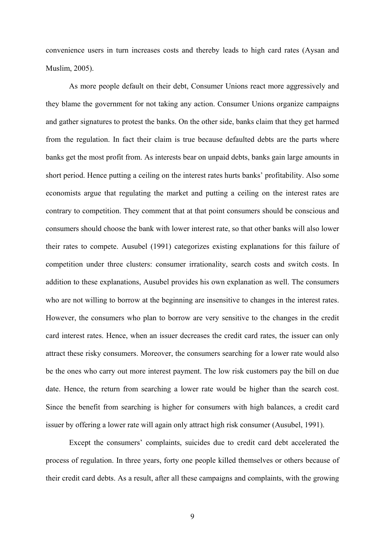convenience users in turn increases costs and thereby leads to high card rates (Aysan and Muslim, 2005).

As more people default on their debt, Consumer Unions react more aggressively and they blame the government for not taking any action. Consumer Unions organize campaigns and gather signatures to protest the banks. On the other side, banks claim that they get harmed from the regulation. In fact their claim is true because defaulted debts are the parts where banks get the most profit from. As interests bear on unpaid debts, banks gain large amounts in short period. Hence putting a ceiling on the interest rates hurts banks' profitability. Also some economists argue that regulating the market and putting a ceiling on the interest rates are contrary to competition. They comment that at that point consumers should be conscious and consumers should choose the bank with lower interest rate, so that other banks will also lower their rates to compete. Ausubel (1991) categorizes existing explanations for this failure of competition under three clusters: consumer irrationality, search costs and switch costs. In addition to these explanations, Ausubel provides his own explanation as well. The consumers who are not willing to borrow at the beginning are insensitive to changes in the interest rates. However, the consumers who plan to borrow are very sensitive to the changes in the credit card interest rates. Hence, when an issuer decreases the credit card rates, the issuer can only attract these risky consumers. Moreover, the consumers searching for a lower rate would also be the ones who carry out more interest payment. The low risk customers pay the bill on due date. Hence, the return from searching a lower rate would be higher than the search cost. Since the benefit from searching is higher for consumers with high balances, a credit card issuer by offering a lower rate will again only attract high risk consumer (Ausubel, 1991).

Except the consumers' complaints, suicides due to credit card debt accelerated the process of regulation. In three years, forty one people killed themselves or others because of their credit card debts. As a result, after all these campaigns and complaints, with the growing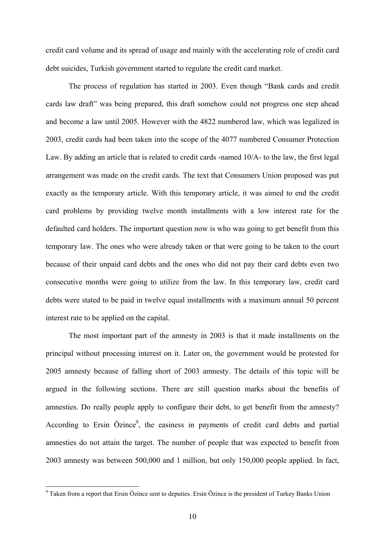credit card volume and its spread of usage and mainly with the accelerating role of credit card debt suicides, Turkish government started to regulate the credit card market.

 The process of regulation has started in 2003. Even though "Bank cards and credit cards law draft" was being prepared, this draft somehow could not progress one step ahead and become a law until 2005. However with the 4822 numbered law, which was legalized in 2003, credit cards had been taken into the scope of the 4077 numbered Consumer Protection Law. By adding an article that is related to credit cards -named 10/A- to the law, the first legal arrangement was made on the credit cards. The text that Consumers Union proposed was put exactly as the temporary article. With this temporary article, it was aimed to end the credit card problems by providing twelve month installments with a low interest rate for the defaulted card holders. The important question now is who was going to get benefit from this temporary law. The ones who were already taken or that were going to be taken to the court because of their unpaid card debts and the ones who did not pay their card debts even two consecutive months were going to utilize from the law. In this temporary law, credit card debts were stated to be paid in twelve equal installments with a maximum annual 50 percent interest rate to be applied on the capital.

 The most important part of the amnesty in 2003 is that it made installments on the principal without processing interest on it. Later on, the government would be protested for 2005 amnesty because of falling short of 2003 amnesty. The details of this topic will be argued in the following sections. There are still question marks about the benefits of amnesties. Do really people apply to configure their debt, to get benefit from the amnesty? According to Ersin Özince<sup>9</sup>, the easiness in payments of credit card debts and partial amnesties do not attain the target. The number of people that was expected to benefit from 2003 amnesty was between 500,000 and 1 million, but only 150,000 people applied. In fact,

<sup>&</sup>lt;sup>9</sup> Taken from a report that Ersin Özince sent to deputies. Ersin Özince is the president of Turkey Banks Union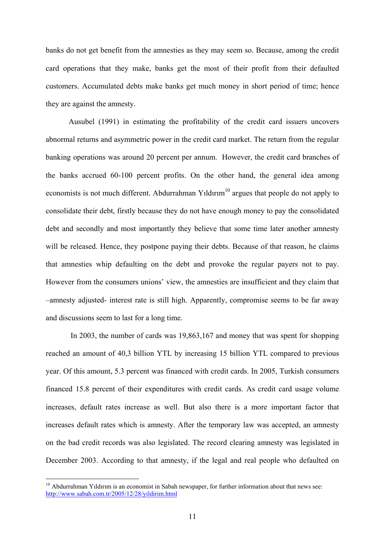banks do not get benefit from the amnesties as they may seem so. Because, among the credit card operations that they make, banks get the most of their profit from their defaulted customers. Accumulated debts make banks get much money in short period of time; hence they are against the amnesty.

Ausubel (1991) in estimating the profitability of the credit card issuers uncovers abnormal returns and asymmetric power in the credit card market. The return from the regular banking operations was around 20 percent per annum. However, the credit card branches of the banks accrued 60-100 percent profits. On the other hand, the general idea among economists is not much different. Abdurrahman Yıldırım<sup>10</sup> argues that people do not apply to consolidate their debt, firstly because they do not have enough money to pay the consolidated debt and secondly and most importantly they believe that some time later another amnesty will be released. Hence, they postpone paying their debts. Because of that reason, he claims that amnesties whip defaulting on the debt and provoke the regular payers not to pay. However from the consumers unions' view, the amnesties are insufficient and they claim that –amnesty adjusted- interest rate is still high. Apparently, compromise seems to be far away and discussions seem to last for a long time.

 In 2003, the number of cards was 19,863,167 and money that was spent for shopping reached an amount of 40,3 billion YTL by increasing 15 billion YTL compared to previous year. Of this amount, 5.3 percent was financed with credit cards. In 2005, Turkish consumers financed 15.8 percent of their expenditures with credit cards. As credit card usage volume increases, default rates increase as well. But also there is a more important factor that increases default rates which is amnesty. After the temporary law was accepted, an amnesty on the bad credit records was also legislated. The record clearing amnesty was legislated in December 2003. According to that amnesty, if the legal and real people who defaulted on

1

<sup>&</sup>lt;sup>10</sup> Abdurrahman Yıldırım is an economist in Sabah newspaper, for further information about that news see: http://www.sabah.com.tr/2005/12/28/yildirim.html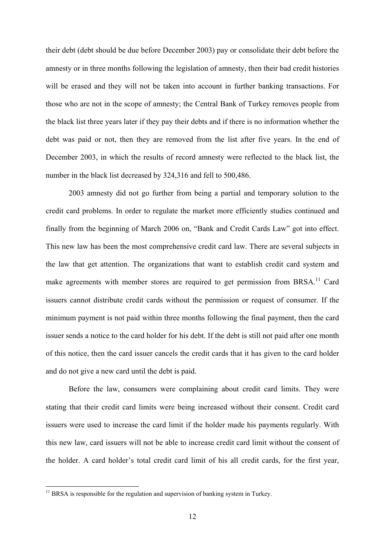their debt (debt should be due before December 2003) pay or consolidate their debt before the amnesty or in three months following the legislation of amnesty, then their bad credit histories will be erased and they will not be taken into account in further banking transactions. For those who are not in the scope of amnesty; the Central Bank of Turkey removes people from the black list three years later if they pay their debts and if there is no information whether the debt was paid or not, then they are removed from the list after five years. In the end of December 2003, in which the results of record amnesty were reflected to the black list, the number in the black list decreased by 324,316 and fell to 500,486.

2003 amnesty did not go further from being a partial and temporary solution to the credit card problems. In order to regulate the market more efficiently studies continued and finally from the beginning of March 2006 on, "Bank and Credit Cards Law" got into effect. This new law has been the most comprehensive credit card law. There are several subjects in the law that get attention. The organizations that want to establish credit card system and make agreements with member stores are required to get permission from BRSA.<sup>11</sup> Card issuers cannot distribute credit cards without the permission or request of consumer. If the minimum payment is not paid within three months following the final payment, then the card issuer sends a notice to the card holder for his debt. If the debt is still not paid after one month of this notice, then the card issuer cancels the credit cards that it has given to the card holder and do not give a new card until the debt is paid.

Before the law, consumers were complaining about credit card limits. They were stating that their credit card limits were being increased without their consent. Credit card issuers were used to increase the card limit if the holder made his payments regularly. With this new law, card issuers will not be able to increase credit card limit without the consent of the holder. A card holder's total credit card limit of his all credit cards, for the first year,

 $11$  BRSA is responsible for the regulation and supervision of banking system in Turkey.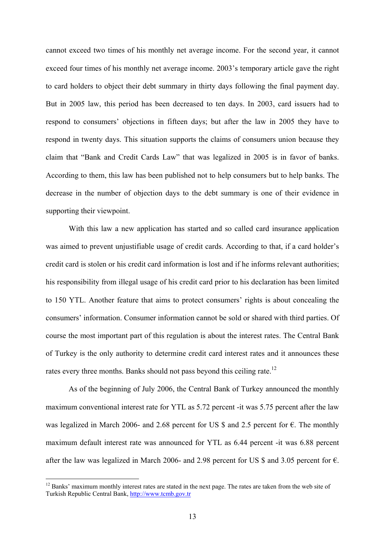cannot exceed two times of his monthly net average income. For the second year, it cannot exceed four times of his monthly net average income. 2003's temporary article gave the right to card holders to object their debt summary in thirty days following the final payment day. But in 2005 law, this period has been decreased to ten days. In 2003, card issuers had to respond to consumers' objections in fifteen days; but after the law in 2005 they have to respond in twenty days. This situation supports the claims of consumers union because they claim that "Bank and Credit Cards Law" that was legalized in 2005 is in favor of banks. According to them, this law has been published not to help consumers but to help banks. The decrease in the number of objection days to the debt summary is one of their evidence in supporting their viewpoint.

With this law a new application has started and so called card insurance application was aimed to prevent unjustifiable usage of credit cards. According to that, if a card holder's credit card is stolen or his credit card information is lost and if he informs relevant authorities; his responsibility from illegal usage of his credit card prior to his declaration has been limited to 150 YTL. Another feature that aims to protect consumers' rights is about concealing the consumers' information. Consumer information cannot be sold or shared with third parties. Of course the most important part of this regulation is about the interest rates. The Central Bank of Turkey is the only authority to determine credit card interest rates and it announces these rates every three months. Banks should not pass beyond this ceiling rate.<sup>12</sup>

As of the beginning of July 2006, the Central Bank of Turkey announced the monthly maximum conventional interest rate for YTL as 5.72 percent -it was 5.75 percent after the law was legalized in March 2006- and 2.68 percent for US \$ and 2.5 percent for  $\epsilon$ . The monthly maximum default interest rate was announced for YTL as 6.44 percent -it was 6.88 percent after the law was legalized in March 2006- and 2.98 percent for US  $\frac{1}{2}$  and 3.05 percent for  $\epsilon$ .

1

<sup>&</sup>lt;sup>12</sup> Banks' maximum monthly interest rates are stated in the next page. The rates are taken from the web site of Turkish Republic Central Bank, http://www.tcmb.gov.tr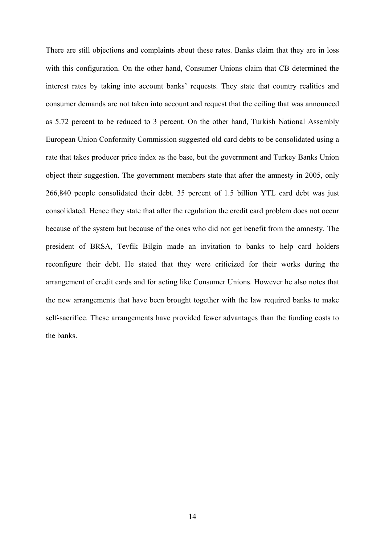There are still objections and complaints about these rates. Banks claim that they are in loss with this configuration. On the other hand, Consumer Unions claim that CB determined the interest rates by taking into account banks' requests. They state that country realities and consumer demands are not taken into account and request that the ceiling that was announced as 5.72 percent to be reduced to 3 percent. On the other hand, Turkish National Assembly European Union Conformity Commission suggested old card debts to be consolidated using a rate that takes producer price index as the base, but the government and Turkey Banks Union object their suggestion. The government members state that after the amnesty in 2005, only 266,840 people consolidated their debt. 35 percent of 1.5 billion YTL card debt was just consolidated. Hence they state that after the regulation the credit card problem does not occur because of the system but because of the ones who did not get benefit from the amnesty. The president of BRSA, Tevfik Bilgin made an invitation to banks to help card holders reconfigure their debt. He stated that they were criticized for their works during the arrangement of credit cards and for acting like Consumer Unions. However he also notes that the new arrangements that have been brought together with the law required banks to make self-sacrifice. These arrangements have provided fewer advantages than the funding costs to the banks.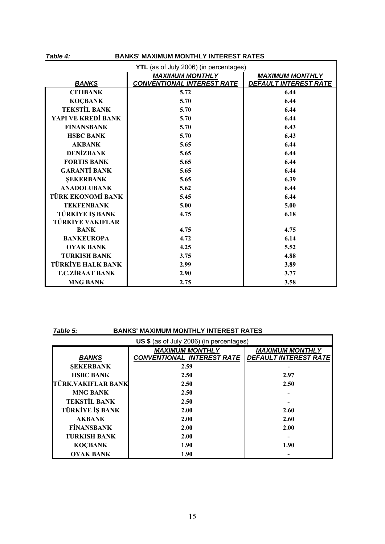| Table 4:                               | <b>BANKS' MAXIMUM MONTHLY INTEREST RATES</b> |                              |  |  |
|----------------------------------------|----------------------------------------------|------------------------------|--|--|
| YTL (as of July 2006) (in percentages) |                                              |                              |  |  |
|                                        | <b>MAXIMUM MONTHLY</b>                       | <b>MAXIMUM MONTHLY</b>       |  |  |
| <b>BANKS</b>                           | <b>CONVENTIONAL INTEREST RATE</b>            | <b>DEFAULT INTEREST RATE</b> |  |  |
| <b>CITIBANK</b>                        | 5.72                                         | 6.44                         |  |  |
| <b>KOÇBANK</b>                         | 5.70                                         | 6.44                         |  |  |
| <b>TEKSTİL BANK</b>                    | 5.70                                         | 6.44                         |  |  |
| YAPI VE KREDİ BANK                     | 5.70                                         | 6.44                         |  |  |
| <b>FİNANSBANK</b>                      | 5.70                                         | 6.43                         |  |  |
| <b>HSBC BANK</b>                       | 5.70                                         | 6.43                         |  |  |
| <b>AKBANK</b>                          | 5.65                                         | 6.44                         |  |  |
| <b>DENİZBANK</b>                       | 5.65                                         | 6.44                         |  |  |
| <b>FORTIS BANK</b>                     | 5.65                                         | 6.44                         |  |  |
| <b>GARANTİ BANK</b>                    | 5.65                                         | 6.44                         |  |  |
| <b>ŞEKERBANK</b>                       | 5.65                                         | 6.39                         |  |  |
| <b>ANADOLUBANK</b>                     | 5.62                                         | 6.44                         |  |  |
| TÜRK EKONOMİ BANK                      | 5.45                                         | 6.44                         |  |  |
| <b>TEKFENBANK</b>                      | 5.00                                         | 5.00                         |  |  |
| <b>TÜRKİYE İŞ BANK</b>                 | 4.75                                         | 6.18                         |  |  |
| <b>TÜRKİYE VAKIFLAR</b>                |                                              |                              |  |  |
| <b>BANK</b>                            | 4.75                                         | 4.75                         |  |  |
| <b>BANKEUROPA</b>                      | 4.72                                         | 6.14                         |  |  |
| <b>OYAK BANK</b>                       | 4.25                                         | 5.52                         |  |  |
| <b>TURKISH BANK</b>                    | 3.75                                         | 4.88                         |  |  |
| <b>TÜRKİYE HALK BANK</b>               | 2.99                                         | 3.89                         |  |  |
| <b>T.C.ZİRAAT BANK</b>                 | 2.90                                         | 3.77                         |  |  |
| <b>MNG BANK</b>                        | 2.75                                         | 3.58                         |  |  |

# *Table 5:* **BANKS' MAXIMUM MONTHLY INTEREST RATES**

| <b>US \$</b> (as of July 2006) (in percentages) |                                   |                              |  |  |  |
|-------------------------------------------------|-----------------------------------|------------------------------|--|--|--|
|                                                 | <b>MAXIMUM MONTHLY</b>            | <b>MAXIMUM MONTHLY</b>       |  |  |  |
| <b>BANKS</b>                                    | <b>CONVENTIONAL INTEREST RATE</b> | <b>DEFAULT INTEREST RATE</b> |  |  |  |
| <b>ŞEKERBANK</b>                                | 2.59                              |                              |  |  |  |
| <b>HSBC BANK</b>                                | 2.50                              | 2.97                         |  |  |  |
| <b>ITÜRK.VAKIFLAR BANK</b>                      | 2.50                              | 2.50                         |  |  |  |
| <b>MNG BANK</b>                                 | 2.50                              |                              |  |  |  |
| <b>TEKSTİL BANK</b>                             | 2.50                              |                              |  |  |  |
| <b>TÜRKİYE İŞ BANK</b>                          | 2.00                              | 2.60                         |  |  |  |
| <b>AKBANK</b>                                   | 2.00                              | 2.60                         |  |  |  |
| <b>FINANSBANK</b>                               | 2.00                              | 2.00                         |  |  |  |
| <b>TURKISH BANK</b>                             | 2.00                              |                              |  |  |  |
| <b>KOCBANK</b>                                  | 1.90                              | 1.90                         |  |  |  |
| <b>OYAK BANK</b>                                | 1.90                              |                              |  |  |  |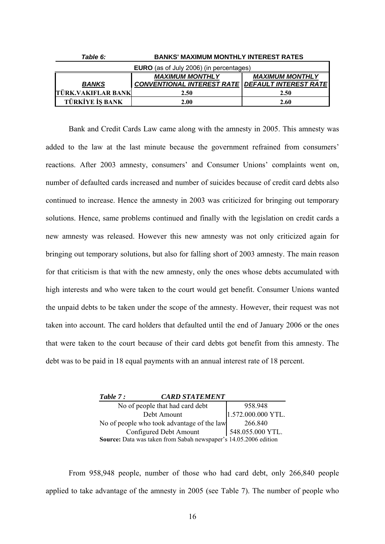| Table 6:                                       | <b>BANKS' MAXIMUM MONTHLY INTEREST RATES</b>       |                        |  |  |
|------------------------------------------------|----------------------------------------------------|------------------------|--|--|
| <b>EURO</b> (as of July 2006) (in percentages) |                                                    |                        |  |  |
|                                                | <b>MAXIMUM MONTHLY</b>                             | <b>MAXIMUM MONTHLY</b> |  |  |
| <b>BANKS</b>                                   | CONVENTIONAL INTEREST RATE   DEFAULT INTEREST RATE |                        |  |  |
| TÜRK.VAKIFLAR BANK                             | 2.50                                               | 2.50                   |  |  |
| <b>TÜRKİYE İŞ BANK</b>                         | 2.00                                               | 2.60                   |  |  |

Bank and Credit Cards Law came along with the amnesty in 2005. This amnesty was added to the law at the last minute because the government refrained from consumers' reactions. After 2003 amnesty, consumers' and Consumer Unions' complaints went on, number of defaulted cards increased and number of suicides because of credit card debts also continued to increase. Hence the amnesty in 2003 was criticized for bringing out temporary solutions. Hence, same problems continued and finally with the legislation on credit cards a new amnesty was released. However this new amnesty was not only criticized again for bringing out temporary solutions, but also for falling short of 2003 amnesty. The main reason for that criticism is that with the new amnesty, only the ones whose debts accumulated with high interests and who were taken to the court would get benefit. Consumer Unions wanted the unpaid debts to be taken under the scope of the amnesty. However, their request was not taken into account. The card holders that defaulted until the end of January 2006 or the ones that were taken to the court because of their card debts got benefit from this amnesty. The debt was to be paid in 18 equal payments with an annual interest rate of 18 percent.

| Table 7:                                                         | <b>CARD STATEMENT</b>                      |                                                                    |
|------------------------------------------------------------------|--------------------------------------------|--------------------------------------------------------------------|
|                                                                  | No of people that had card debt            | 958.948                                                            |
|                                                                  | Debt Amount                                | $1.572.000.000$ YTL.                                               |
|                                                                  | No of people who took advantage of the law | $\begin{array}{c} 266.840 \\ 548.055.000 \text{ YTL.} \end{array}$ |
|                                                                  | Configured Debt Amount                     |                                                                    |
| Source: Data was taken from Sabah newspaper's 14.05.2006 edition |                                            |                                                                    |

 From 958,948 people, number of those who had card debt, only 266,840 people applied to take advantage of the amnesty in 2005 (see Table 7). The number of people who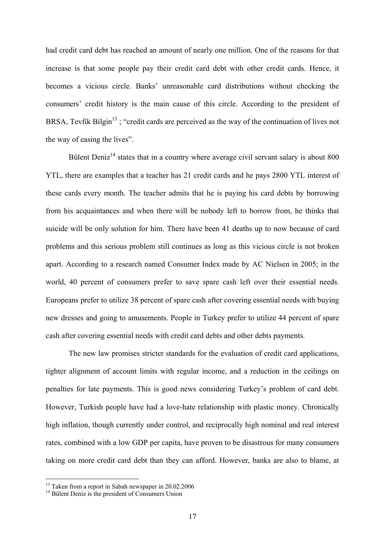had credit card debt has reached an amount of nearly one million. One of the reasons for that increase is that some people pay their credit card debt with other credit cards. Hence, it becomes a vicious circle. Banks' unreasonable card distributions without checking the consumers' credit history is the main cause of this circle. According to the president of BRSA, Tevfik Bilgin<sup>13</sup>; "credit cards are perceived as the way of the continuation of lives not the way of easing the lives".

Bülent Deniz<sup>14</sup> states that in a country where average civil servant salary is about  $800$ YTL, there are examples that a teacher has 21 credit cards and he pays 2800 YTL interest of these cards every month. The teacher admits that he is paying his card debts by borrowing from his acquaintances and when there will be nobody left to borrow from, he thinks that suicide will be only solution for him. There have been 41 deaths up to now because of card problems and this serious problem still continues as long as this vicious circle is not broken apart. According to a research named Consumer Index made by AC Nielsen in 2005; in the world, 40 percent of consumers prefer to save spare cash left over their essential needs. Europeans prefer to utilize 38 percent of spare cash after covering essential needs with buying new dresses and going to amusements. People in Turkey prefer to utilize 44 percent of spare cash after covering essential needs with credit card debts and other debts payments.

 The new law promises stricter standards for the evaluation of credit card applications, tighter alignment of account limits with regular income, and a reduction in the ceilings on penalties for late payments. This is good news considering Turkey's problem of card debt. However, Turkish people have had a love-hate relationship with plastic money. Chronically high inflation, though currently under control, and reciprocally high nominal and real interest rates, combined with a low GDP per capita, have proven to be disastrous for many consumers taking on more credit card debt than they can afford. However, banks are also to blame, at

1

<sup>&</sup>lt;sup>13</sup> Taken from a report in Sabah newspaper in 20.02.2006

<sup>&</sup>lt;sup>14</sup> Bülent Deniz is the president of Consumers Union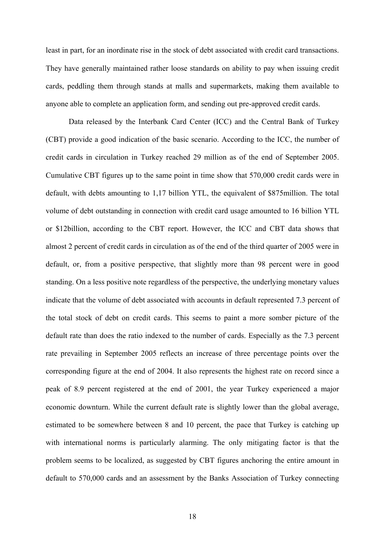least in part, for an inordinate rise in the stock of debt associated with credit card transactions. They have generally maintained rather loose standards on ability to pay when issuing credit cards, peddling them through stands at malls and supermarkets, making them available to anyone able to complete an application form, and sending out pre-approved credit cards.

Data released by the Interbank Card Center (ICC) and the Central Bank of Turkey (CBT) provide a good indication of the basic scenario. According to the ICC, the number of credit cards in circulation in Turkey reached 29 million as of the end of September 2005. Cumulative CBT figures up to the same point in time show that 570,000 credit cards were in default, with debts amounting to 1,17 billion YTL, the equivalent of \$875million. The total volume of debt outstanding in connection with credit card usage amounted to 16 billion YTL or \$12billion, according to the CBT report. However, the ICC and CBT data shows that almost 2 percent of credit cards in circulation as of the end of the third quarter of 2005 were in default, or, from a positive perspective, that slightly more than 98 percent were in good standing. On a less positive note regardless of the perspective, the underlying monetary values indicate that the volume of debt associated with accounts in default represented 7.3 percent of the total stock of debt on credit cards. This seems to paint a more somber picture of the default rate than does the ratio indexed to the number of cards. Especially as the 7.3 percent rate prevailing in September 2005 reflects an increase of three percentage points over the corresponding figure at the end of 2004. It also represents the highest rate on record since a peak of 8.9 percent registered at the end of 2001, the year Turkey experienced a major economic downturn. While the current default rate is slightly lower than the global average, estimated to be somewhere between 8 and 10 percent, the pace that Turkey is catching up with international norms is particularly alarming. The only mitigating factor is that the problem seems to be localized, as suggested by CBT figures anchoring the entire amount in default to 570,000 cards and an assessment by the Banks Association of Turkey connecting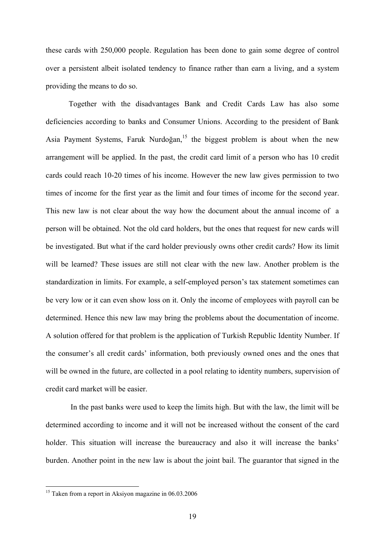these cards with 250,000 people. Regulation has been done to gain some degree of control over a persistent albeit isolated tendency to finance rather than earn a living, and a system providing the means to do so.

Together with the disadvantages Bank and Credit Cards Law has also some deficiencies according to banks and Consumer Unions. According to the president of Bank Asia Payment Systems, Faruk Nurdoğan,<sup>15</sup> the biggest problem is about when the new arrangement will be applied. In the past, the credit card limit of a person who has 10 credit cards could reach 10-20 times of his income. However the new law gives permission to two times of income for the first year as the limit and four times of income for the second year. This new law is not clear about the way how the document about the annual income of a person will be obtained. Not the old card holders, but the ones that request for new cards will be investigated. But what if the card holder previously owns other credit cards? How its limit will be learned? These issues are still not clear with the new law. Another problem is the standardization in limits. For example, a self-employed person's tax statement sometimes can be very low or it can even show loss on it. Only the income of employees with payroll can be determined. Hence this new law may bring the problems about the documentation of income. A solution offered for that problem is the application of Turkish Republic Identity Number. If the consumer's all credit cards' information, both previously owned ones and the ones that will be owned in the future, are collected in a pool relating to identity numbers, supervision of credit card market will be easier.

 In the past banks were used to keep the limits high. But with the law, the limit will be determined according to income and it will not be increased without the consent of the card holder. This situation will increase the bureaucracy and also it will increase the banks' burden. Another point in the new law is about the joint bail. The guarantor that signed in the

<sup>&</sup>lt;sup>15</sup> Taken from a report in Aksiyon magazine in 06.03.2006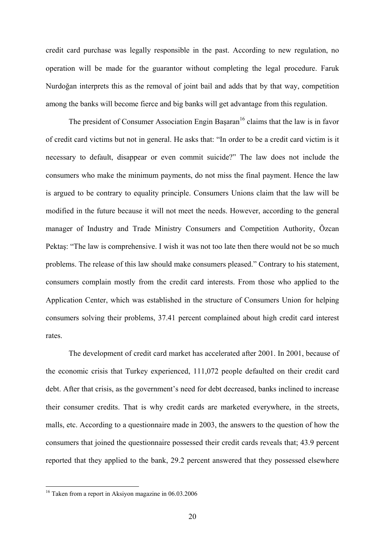credit card purchase was legally responsible in the past. According to new regulation, no operation will be made for the guarantor without completing the legal procedure. Faruk Nurdoğan interprets this as the removal of joint bail and adds that by that way, competition among the banks will become fierce and big banks will get advantage from this regulation.

The president of Consumer Association Engin Basaran<sup>16</sup> claims that the law is in favor of credit card victims but not in general. He asks that: "In order to be a credit card victim is it necessary to default, disappear or even commit suicide?" The law does not include the consumers who make the minimum payments, do not miss the final payment. Hence the law is argued to be contrary to equality principle. Consumers Unions claim that the law will be modified in the future because it will not meet the needs. However, according to the general manager of Industry and Trade Ministry Consumers and Competition Authority, Özcan Pektaş: "The law is comprehensive. I wish it was not too late then there would not be so much problems. The release of this law should make consumers pleased." Contrary to his statement, consumers complain mostly from the credit card interests. From those who applied to the Application Center, which was established in the structure of Consumers Union for helping consumers solving their problems, 37.41 percent complained about high credit card interest rates.

 The development of credit card market has accelerated after 2001. In 2001, because of the economic crisis that Turkey experienced, 111,072 people defaulted on their credit card debt. After that crisis, as the government's need for debt decreased, banks inclined to increase their consumer credits. That is why credit cards are marketed everywhere, in the streets, malls, etc. According to a questionnaire made in 2003, the answers to the question of how the consumers that joined the questionnaire possessed their credit cards reveals that; 43.9 percent reported that they applied to the bank, 29.2 percent answered that they possessed elsewhere

<sup>&</sup>lt;sup>16</sup> Taken from a report in Aksiyon magazine in 06.03.2006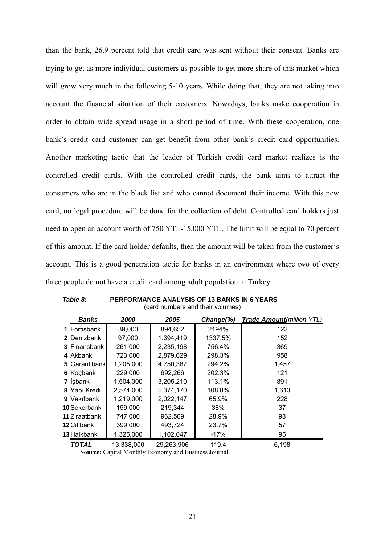than the bank, 26.9 percent told that credit card was sent without their consent. Banks are trying to get as more individual customers as possible to get more share of this market which will grow very much in the following 5-10 years. While doing that, they are not taking into account the financial situation of their customers. Nowadays, banks make cooperation in order to obtain wide spread usage in a short period of time. With these cooperation, one bank's credit card customer can get benefit from other bank's credit card opportunities. Another marketing tactic that the leader of Turkish credit card market realizes is the controlled credit cards. With the controlled credit cards, the bank aims to attract the consumers who are in the black list and who cannot document their income. With this new card, no legal procedure will be done for the collection of debt. Controlled card holders just need to open an account worth of 750 YTL-15,000 YTL. The limit will be equal to 70 percent of this amount. If the card holder defaults, then the amount will be taken from the customer's account. This is a good penetration tactic for banks in an environment where two of every three people do not have a credit card among adult population in Turkey.

|              | $30.4$ manners and then relatively                          |            |            |              |                                  |  |
|--------------|-------------------------------------------------------------|------------|------------|--------------|----------------------------------|--|
|              | Banks                                                       | 2000       | 2005       | $Change(\%)$ | <b>Trade Amount(million YTL)</b> |  |
|              | 1 Fortisbank                                                | 39,000     | 894,652    | 2194%        | 122                              |  |
|              | 2 Denizbank                                                 | 97,000     | 1,394,419  | 1337.5%      | 152                              |  |
|              | 3 Finansbank                                                | 261,000    | 2,235,198  | 756.4%       | 369                              |  |
|              | 4 <b>I</b> Akbank                                           | 723,000    | 2,879,629  | 298.3%       | 958                              |  |
|              | 5 Garantibank                                               | 1,205,000  | 4,750,387  | 294.2%       | 1,457                            |  |
|              | 6 Koçbank                                                   | 229,000    | 692,266    | 202.3%       | 121                              |  |
|              | 7 <b>Sank</b>                                               | 1,504,000  | 3,205,210  | 113.1%       | 891                              |  |
|              | 8 Yapı Kredi                                                | 2,574,000  | 5,374,170  | 108.8%       | 1,613                            |  |
|              | 9 Vakifbank                                                 | 1,219,000  | 2,022,147  | 65.9%        | 228                              |  |
|              | 10 Sekerbank                                                | 159,000    | 219,344    | 38%          | 37                               |  |
|              | 11 Ziraatbank                                               | 747,000    | 962,569    | 28.9%        | 98                               |  |
|              | 12 Citibank                                                 | 399,000    | 493,724    | 23.7%        | 57                               |  |
|              | 13 Halkbank                                                 | 1,325,000  | 1,102,047  | $-17%$       | 95                               |  |
| <b>TOTAL</b> |                                                             | 13,338,000 | 29,263,906 | 119.4        | 6,198                            |  |
|              | <b>Source:</b> Capital Monthly Economy and Rusiness Journal |            |            |              |                                  |  |

*Table 8:* **PERFORMANCE ANALYSIS OF 13 BANKS IN 6 YEARS**  (card numbers and their volumes)

**Source:** Capital Monthly Economy and Business Journal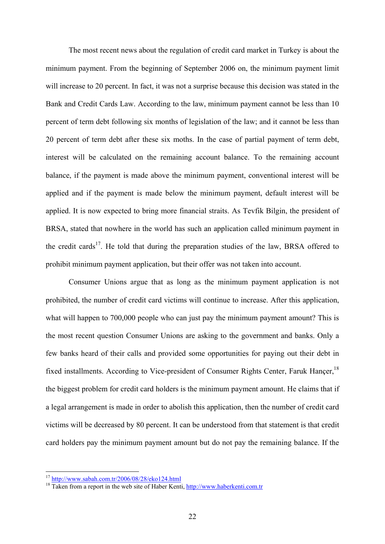The most recent news about the regulation of credit card market in Turkey is about the minimum payment. From the beginning of September 2006 on, the minimum payment limit will increase to 20 percent. In fact, it was not a surprise because this decision was stated in the Bank and Credit Cards Law. According to the law, minimum payment cannot be less than 10 percent of term debt following six months of legislation of the law; and it cannot be less than 20 percent of term debt after these six moths. In the case of partial payment of term debt, interest will be calculated on the remaining account balance. To the remaining account balance, if the payment is made above the minimum payment, conventional interest will be applied and if the payment is made below the minimum payment, default interest will be applied. It is now expected to bring more financial straits. As Tevfik Bilgin, the president of BRSA, stated that nowhere in the world has such an application called minimum payment in the credit cards<sup>17</sup>. He told that during the preparation studies of the law, BRSA offered to prohibit minimum payment application, but their offer was not taken into account.

Consumer Unions argue that as long as the minimum payment application is not prohibited, the number of credit card victims will continue to increase. After this application, what will happen to 700,000 people who can just pay the minimum payment amount? This is the most recent question Consumer Unions are asking to the government and banks. Only a few banks heard of their calls and provided some opportunities for paying out their debt in fixed installments. According to Vice-president of Consumer Rights Center, Faruk Hancer,<sup>18</sup> the biggest problem for credit card holders is the minimum payment amount. He claims that if a legal arrangement is made in order to abolish this application, then the number of credit card victims will be decreased by 80 percent. It can be understood from that statement is that credit card holders pay the minimum payment amount but do not pay the remaining balance. If the

 $17$  http://www.sabah.com.tr/2006/08/28/eko124.html

<sup>&</sup>lt;sup>18</sup> Taken from a report in the web site of Haber Kenti, http://www.haberkenti.com.tr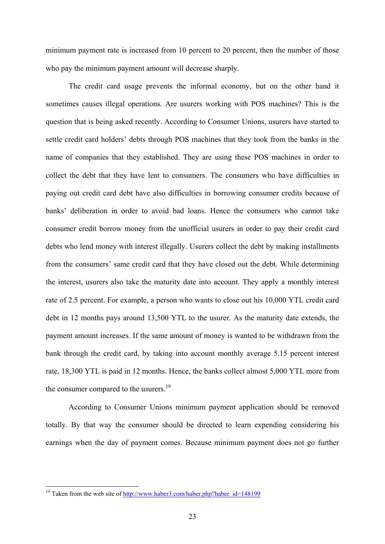minimum payment rate is increased from 10 percent to 20 percent, then the number of those who pay the minimum payment amount will decrease sharply.

 The credit card usage prevents the informal economy, but on the other hand it sometimes causes illegal operations. Are usurers working with POS machines? This is the question that is being asked recently. According to Consumer Unions, usurers have started to settle credit card holders' debts through POS machines that they took from the banks in the name of companies that they established. They are using these POS machines in order to collect the debt that they have lent to consumers. The consumers who have difficulties in paying out credit card debt have also difficulties in borrowing consumer credits because of banks' deliberation in order to avoid bad loans. Hence the consumers who cannot take consumer credit borrow money from the unofficial usurers in order to pay their credit card debts who lend money with interest illegally. Usurers collect the debt by making installments from the consumers' same credit card that they have closed out the debt. While determining the interest, usurers also take the maturity date into account. They apply a monthly interest rate of 2.5 percent. For example, a person who wants to close out his 10,000 YTL credit card debt in 12 months pays around 13,500 YTL to the usurer. As the maturity date extends, the payment amount increases. If the same amount of money is wanted to be withdrawn from the bank through the credit card, by taking into account monthly average 5.15 percent interest rate, 18,300 YTL is paid in 12 months. Hence, the banks collect almost 5,000 YTL more from the consumer compared to the usurers.<sup>19</sup>

According to Consumer Unions minimum payment application should be removed totally. By that way the consumer should be directed to learn expending considering his earnings when the day of payment comes. Because minimum payment does not go further

<sup>&</sup>lt;sup>19</sup> Taken from the web site of <u>http://www.haber3.com/haber.php?haber\_id=148199</u>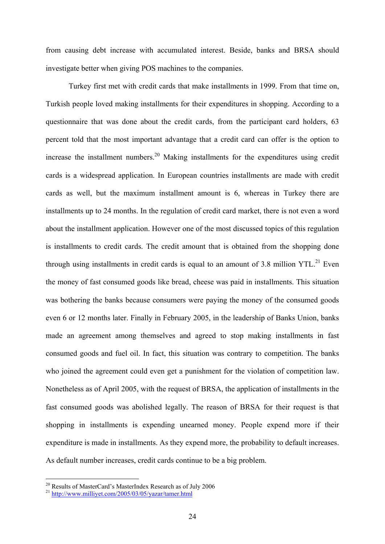from causing debt increase with accumulated interest. Beside, banks and BRSA should investigate better when giving POS machines to the companies.

 Turkey first met with credit cards that make installments in 1999. From that time on, Turkish people loved making installments for their expenditures in shopping. According to a questionnaire that was done about the credit cards, from the participant card holders, 63 percent told that the most important advantage that a credit card can offer is the option to increase the installment numbers.<sup>20</sup> Making installments for the expenditures using credit cards is a widespread application. In European countries installments are made with credit cards as well, but the maximum installment amount is 6, whereas in Turkey there are installments up to 24 months. In the regulation of credit card market, there is not even a word about the installment application. However one of the most discussed topics of this regulation is installments to credit cards. The credit amount that is obtained from the shopping done through using installments in credit cards is equal to an amount of 3.8 million YTL.<sup>21</sup> Even the money of fast consumed goods like bread, cheese was paid in installments. This situation was bothering the banks because consumers were paying the money of the consumed goods even 6 or 12 months later. Finally in February 2005, in the leadership of Banks Union, banks made an agreement among themselves and agreed to stop making installments in fast consumed goods and fuel oil. In fact, this situation was contrary to competition. The banks who joined the agreement could even get a punishment for the violation of competition law. Nonetheless as of April 2005, with the request of BRSA, the application of installments in the fast consumed goods was abolished legally. The reason of BRSA for their request is that shopping in installments is expending unearned money. People expend more if their expenditure is made in installments. As they expend more, the probability to default increases. As default number increases, credit cards continue to be a big problem.

1

 $20$  Results of MasterCard's MasterIndex Research as of July 2006

<sup>&</sup>lt;sup>21</sup> http://www.millivet.com/2005/03/05/yazar/tamer.html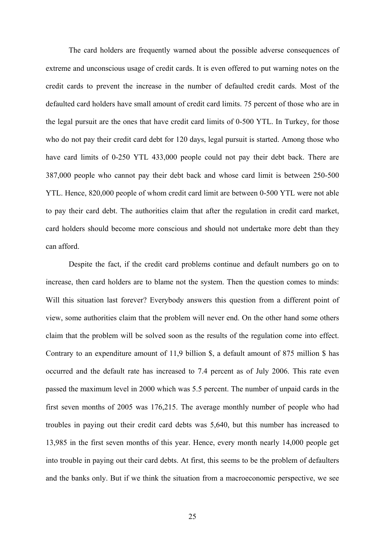The card holders are frequently warned about the possible adverse consequences of extreme and unconscious usage of credit cards. It is even offered to put warning notes on the credit cards to prevent the increase in the number of defaulted credit cards. Most of the defaulted card holders have small amount of credit card limits. 75 percent of those who are in the legal pursuit are the ones that have credit card limits of 0-500 YTL. In Turkey, for those who do not pay their credit card debt for 120 days, legal pursuit is started. Among those who have card limits of 0-250 YTL 433,000 people could not pay their debt back. There are 387,000 people who cannot pay their debt back and whose card limit is between 250-500 YTL. Hence, 820,000 people of whom credit card limit are between 0-500 YTL were not able to pay their card debt. The authorities claim that after the regulation in credit card market, card holders should become more conscious and should not undertake more debt than they can afford.

Despite the fact, if the credit card problems continue and default numbers go on to increase, then card holders are to blame not the system. Then the question comes to minds: Will this situation last forever? Everybody answers this question from a different point of view, some authorities claim that the problem will never end. On the other hand some others claim that the problem will be solved soon as the results of the regulation come into effect. Contrary to an expenditure amount of 11,9 billion \$, a default amount of 875 million \$ has occurred and the default rate has increased to 7.4 percent as of July 2006. This rate even passed the maximum level in 2000 which was 5.5 percent. The number of unpaid cards in the first seven months of 2005 was 176,215. The average monthly number of people who had troubles in paying out their credit card debts was 5,640, but this number has increased to 13,985 in the first seven months of this year. Hence, every month nearly 14,000 people get into trouble in paying out their card debts. At first, this seems to be the problem of defaulters and the banks only. But if we think the situation from a macroeconomic perspective, we see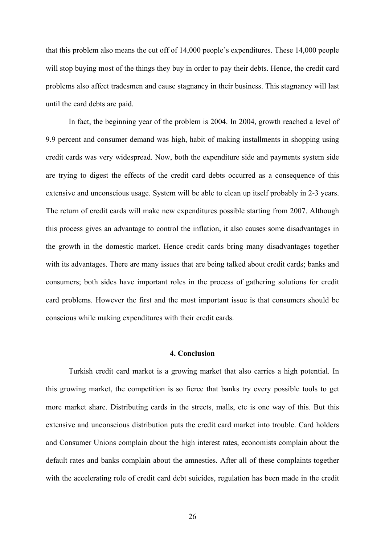that this problem also means the cut off of 14,000 people's expenditures. These 14,000 people will stop buying most of the things they buy in order to pay their debts. Hence, the credit card problems also affect tradesmen and cause stagnancy in their business. This stagnancy will last until the card debts are paid.

In fact, the beginning year of the problem is 2004. In 2004, growth reached a level of 9.9 percent and consumer demand was high, habit of making installments in shopping using credit cards was very widespread. Now, both the expenditure side and payments system side are trying to digest the effects of the credit card debts occurred as a consequence of this extensive and unconscious usage. System will be able to clean up itself probably in 2-3 years. The return of credit cards will make new expenditures possible starting from 2007. Although this process gives an advantage to control the inflation, it also causes some disadvantages in the growth in the domestic market. Hence credit cards bring many disadvantages together with its advantages. There are many issues that are being talked about credit cards; banks and consumers; both sides have important roles in the process of gathering solutions for credit card problems. However the first and the most important issue is that consumers should be conscious while making expenditures with their credit cards.

#### **4. Conclusion**

Turkish credit card market is a growing market that also carries a high potential. In this growing market, the competition is so fierce that banks try every possible tools to get more market share. Distributing cards in the streets, malls, etc is one way of this. But this extensive and unconscious distribution puts the credit card market into trouble. Card holders and Consumer Unions complain about the high interest rates, economists complain about the default rates and banks complain about the amnesties. After all of these complaints together with the accelerating role of credit card debt suicides, regulation has been made in the credit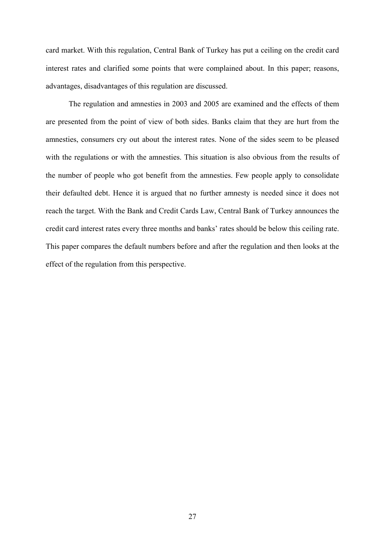card market. With this regulation, Central Bank of Turkey has put a ceiling on the credit card interest rates and clarified some points that were complained about. In this paper; reasons, advantages, disadvantages of this regulation are discussed.

The regulation and amnesties in 2003 and 2005 are examined and the effects of them are presented from the point of view of both sides. Banks claim that they are hurt from the amnesties, consumers cry out about the interest rates. None of the sides seem to be pleased with the regulations or with the amnesties. This situation is also obvious from the results of the number of people who got benefit from the amnesties. Few people apply to consolidate their defaulted debt. Hence it is argued that no further amnesty is needed since it does not reach the target. With the Bank and Credit Cards Law, Central Bank of Turkey announces the credit card interest rates every three months and banks' rates should be below this ceiling rate. This paper compares the default numbers before and after the regulation and then looks at the effect of the regulation from this perspective.